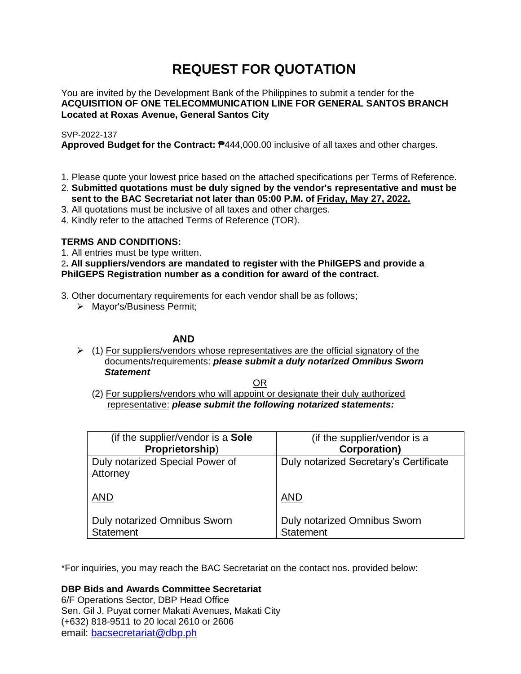# **REQUEST FOR QUOTATION**

You are invited by the Development Bank of the Philippines to submit a tender for the **ACQUISITION OF ONE TELECOMMUNICATION LINE FOR GENERAL SANTOS BRANCH Located at Roxas Avenue, General Santos City**

### SVP-2022-137

**Approved Budget for the Contract:** ₱444,000.00 inclusive of all taxes and other charges.

- 1. Please quote your lowest price based on the attached specifications per Terms of Reference.
- 2. **Submitted quotations must be duly signed by the vendor's representative and must be sent to the BAC Secretariat not later than 05:00 P.M. of Friday, May 27, 2022.**
- 3. All quotations must be inclusive of all taxes and other charges.
- 4. Kindly refer to the attached Terms of Reference (TOR).

## **TERMS AND CONDITIONS:**

1. All entries must be type written.

2**. All suppliers/vendors are mandated to register with the PhilGEPS and provide a PhilGEPS Registration number as a condition for award of the contract.**

- 3. Other documentary requirements for each vendor shall be as follows;
	- > Mayor's/Business Permit;

### **AND**

 $\geq$  (1) For suppliers/vendors whose representatives are the official signatory of the documents/requirements: *please submit a duly notarized Omnibus Sworn Statement*

<u>OR Starting and the Starting OR Starting</u>

(2) For suppliers/vendors who will appoint or designate their duly authorized representative: *please submit the following notarized statements:*

| (if the supplier/vendor is a Sole                | (if the supplier/vendor is a                     |
|--------------------------------------------------|--------------------------------------------------|
| Proprietorship)                                  | <b>Corporation)</b>                              |
| Duly notarized Special Power of<br>Attorney      | Duly notarized Secretary's Certificate           |
| <b>AND</b>                                       | <b>AND</b>                                       |
| Duly notarized Omnibus Sworn<br><b>Statement</b> | Duly notarized Omnibus Sworn<br><b>Statement</b> |

\*For inquiries, you may reach the BAC Secretariat on the contact nos. provided below:

**DBP Bids and Awards Committee Secretariat** 

6/F Operations Sector, DBP Head Office Sen. Gil J. Puyat corner Makati Avenues, Makati City (+632) 818-9511 to 20 local 2610 or 2606 email: [bacsecretariat@dbp.ph](mailto:bacsecretariat@dbp.ph)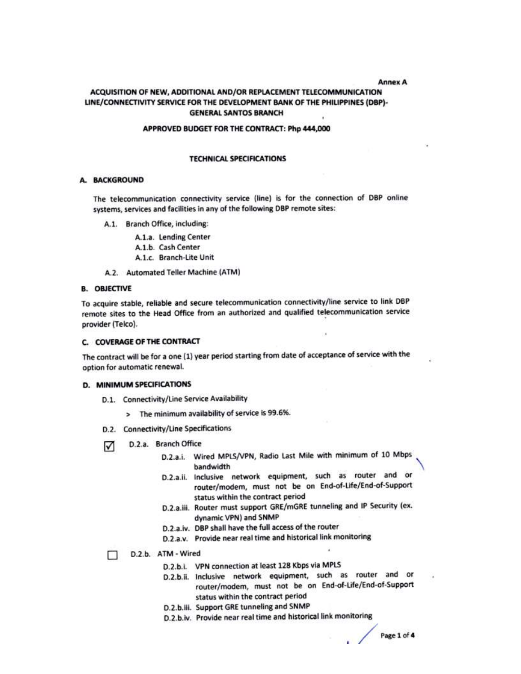#### **Annex A**

### ACQUISITION OF NEW. ADDITIONAL AND/OR REPLACEMENT TELECOMMUNICATION LINE/CONNECTIVITY SERVICE FOR THE DEVELOPMENT BANK OF THE PHILIPPINES (DBP)-**GENERAL SANTOS BRANCH**

#### APPROVED BUDGET FOR THE CONTRACT: Php 444,000

#### **TECHNICAL SPECIFICATIONS**

#### A. BACKGROUND

The telecommunication connectivity service (line) is for the connection of DBP online systems, services and facilities in any of the following DBP remote sites:

- A.1. Branch Office, including:
	- A.1.a. Lending Center
	- A.1.b. Cash Center
	- A.1.c. Branch-Lite Unit
- A.2. Automated Teller Machine (ATM)

### **B. OBJECTIVE**

To acquire stable, reliable and secure telecommunication connectivity/line service to link DBP remote sites to the Head Office from an authorized and qualified telecommunication service provider (Telco).

#### C. COVERAGE OF THE CONTRACT

The contract will be for a one (1) year period starting from date of acceptance of service with the option for automatic renewal.

#### D. MINIMUM SPECIFICATIONS

- D.1. Connectivity/Line Service Availability
	- > The minimum availability of service is 99.6%.
- D.2. Connectivity/Line Specifications
- D.2.a. Branch Office М
	- D.2.a.i. Wired MPLS/VPN, Radio Last Mile with minimum of 10 Mbps bandwidth
	- D.2.a.ii. Inclusive network equipment, such as router and or router/modem, must not be on End-of-Life/End-of-Support status within the contract period
	- D.2.a.iii. Router must support GRE/mGRE tunneling and IP Security (ex. dynamic VPN) and SNMP
	- D.2.a.iv. DBP shall have the full access of the router
	- D.2.a.v. Provide near real time and historical link monitoring

#### D.2.b. ATM - Wired  $\Box$

- D.2.b.i. VPN connection at least 128 Kbps via MPLS
- D.2.b.ii. Inclusive network equipment, such as router and or router/modem, must not be on End-of-Life/End-of-Support status within the contract period
- D.2.b.iii. Support GRE tunneling and SNMP
- D.2.b.iv. Provide near real time and historical link monitoring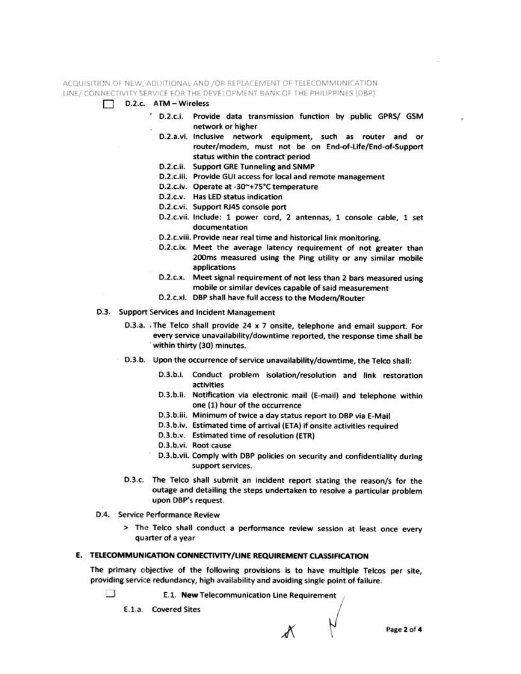ACQUISITION OF NEW, ADDITIONAL AND /OR REPLACEMENT OF TELECOMMUNICATION LINE/ CONNECTIVITY SERVICE FOR THE DEVELOPMENT BANK OF THE PHILIPPINES (DBP)

- D.2.c. ATM Wireless п
	- D.2.c.i. Provide data transmission function by public GPRS/ GSM network or higher
	- D.2.a.vi. Inclusive network equipment, such as router and or router/modem, must not be on End-of-Life/End-of-Support status within the contract period
	- D.2.c.ii. Support GRE Tunneling and SNMP
	- D.2.c.iii. Provide GUI access for local and remote management
	- D.2.c.iv. Operate at -30~+75°C temperature
	- D.2.c.v. Has LED status indication
	- D.2.c.vi. Support RJ45 console port
	- D.2.c.vii. Include: 1 power cord, 2 antennas, 1 console cable, 1 set documentation
	- D.2.c.viii. Provide near real time and historical link monitoring.
	- D.2.c.ix. Meet the average latency requirement of not greater than 200ms measured using the Ping utility or any similar mobile applications
	- D.2.c.x. Meet signal requirement of not less than 2 bars measured using mobile or similar devices capable of said measurement
	- D.2.c.xi. DBP shall have full access to the Modern/Router
- D.3. Support Services and Incident Management
	- D.3.a. The Telco shall provide 24 x 7 onsite, telephone and email support. For every service unavailability/downtime reported, the response time shall be within thirty (30) minutes.
	- D.3.b. Upon the occurrence of service unavailability/downtime, the Telco shall:
		- D.3.b.i. Conduct problem isolation/resolution and link restoration activities
		- D.3.b.ii. Notification via electronic mail (E-mail) and telephone within one (1) hour of the occurrence
		- D.3.b.iii. Minimum of twice a day status report to DBP via E-Mail
		- D.3.b.iv. Estimated time of arrival (ETA) if onsite activities required
		- D.3.b.v. Estimated time of resolution (ETR)
		- D.3.b.vi. Root cause
		- D.3.b.vii. Comply with DBP policies on security and confidentiality during support services.
		- D.3.c. The Telco shall submit an incident report stating the reason/s for the outage and detailing the steps undertaken to resolve a particular problem upon DBP's request.
- D.4. Service Performance Review
	- > The Telco shall conduct a performance review session at least once every quarter of a year

### E. TELECOMMUNICATION CONNECTIVITY/LINE REQUIREMENT CLASSIFICATION

The primary objective of the following provisions is to have multiple Telcos per site, providing service redundancy, high availability and avoiding single point of failure.

Π

E.1. New Telecommunication Line Requirement

E.1.a. Covered Sites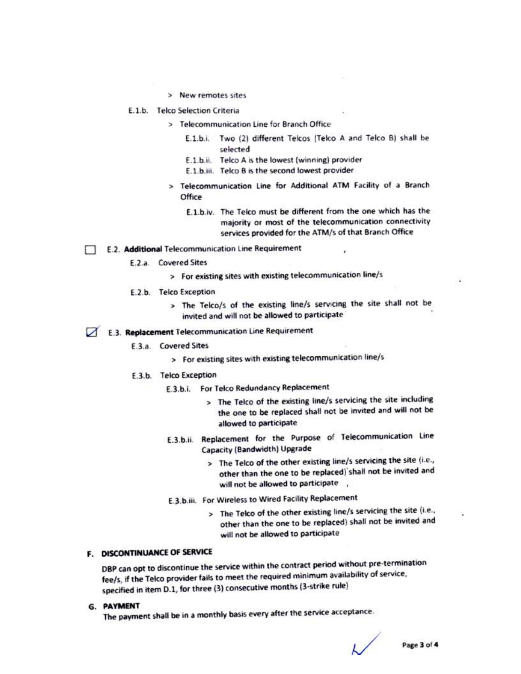> New remotes sites

### E.1.b. Telco Selection Criteria

- > Telecommunication Line for Branch Office
	- E.1.b.i. Two (2) different Telcos (Telco A and Telco B) shall be selected
	- E.1.b.ii. Telco A is the lowest (winning) provider
	- E.1.b.iii. Telco B is the second lowest provider
- > Telecommunication Line for Additional ATM Facility of a Branch Office
	- E.1.b.iv. The Telco must be different from the one which has the majority or most of the telecommunication connectivity services provided for the ATM/s of that Branch Office
- E.2. Additional Telecommunication Line Requirement
	- E.2.a. Covered Sites
		- > For existing sites with existing telecommunication line/s
	- E.2.b. Telco Exception
		- > The Telco/s of the existing line/s servicing the site shall not be invited and will not be allowed to participate
- E.3. Replacement Telecommunication Line Requirement
	- **E.3.a.** Covered Sites
		- > For existing sites with existing telecommunication line/s
	- E.3.b. Telco Exception
		- E.3.b.i. For Telco Redundancy Replacement
			- > The Telco of the existing line/s servicing the site including the one to be replaced shall not be invited and will not be allowed to participate
		- E.3.b.ii. Replacement for the Purpose of Telecommunication Line Capacity (Bandwidth) Upgrade
			- > The Telco of the other existing line/s servicing the site (i.e., other than the one to be replaced) shall not be invited and will not be allowed to participate .
		- E.3.b.iii. For Wireless to Wired Facility Replacement
			- > The Telco of the other existing line/s servicing the site (i.e., other than the one to be replaced) shall not be invited and will not be allowed to participate

### F. DISCONTINUANCE OF SERVICE

DBP can opt to discontinue the service within the contract period without pre-termination fee/s, if the Telco provider fails to meet the required minimum availability of service, specified in item D.1, for three (3) consecutive months (3-strike rule)

**G. PAYMENT** 

The payment shall be in a monthly basis every after the service acceptance.